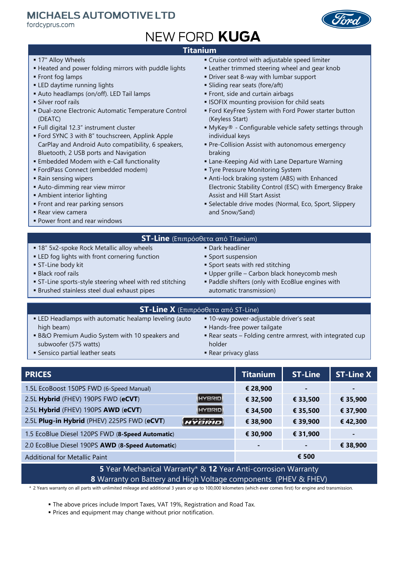### **MICHAELS AUTOMOTIVE LTD**

fordcyprus.com



# NEW FORD KUGA

#### **Titanium**

- 17" Alloy Wheels
- Heated and power folding mirrors with puddle lights
- **Front fog lamps**
- **ELED** daytime running lights
- Auto headlamps (on/off). LED Tail lamps
- **Silver roof rails**
- Dual-zone Electronic Automatic Temperature Control (DEATC)
- Full digital 12.3" instrument cluster
- Ford SYNC 3 with 8" touchscreen, Applink Apple CarPlay and Android Auto compatibility, 6 speakers, Bluetooth, 2 USB ports and Navigation
- Embedded Modem with e-Call functionality
- FordPass Connect (embedded modem)
- Rain sensing wipers
- Auto-dimming rear view mirror
- **Ambient interior lighting**
- **Front and rear parking sensors**
- Rear view camera
- Power front and rear windows
- Cruise control with adjustable speed limiter
- **Example 2** Leather trimmed steering wheel and gear knob
- Driver seat 8-way with lumbar support
- Sliding rear seats (fore/aft)
- Front, side and curtain airbags
- **ISOFIX mounting provision for child seats**
- Ford KeyFree System with Ford Power starter button (Keyless Start)
- MyKey® Configurable vehicle safety settings through individual keys
- **Pre-Collision Assist with autonomous emergency** braking
- Lane-Keeping Aid with Lane Departure Warning
- **Tyre Pressure Monitoring System**
- Anti-lock braking system (ABS) with Enhanced Electronic Stability Control (ESC) with Emergency Brake Assist and Hill Start Assist
- **Selectable drive modes (Normal, Eco, Sport, Slippery** and Snow/Sand)

#### **ST-Line** (Επιπρόσθετα από Titanium)

 Dark headliner **Sport suspension** 

**Sport seats with red stitching** 

- 18" 5x2-spoke Rock Metallic alloy wheels
- **ELED** fog lights with front cornering function
- **ST-Line body kit**
- **Black roof rails**
- ST-Line sports-style steering wheel with red stitching
- Brushed stainless steel dual exhaust pipes
- Paddle shifters (only with EcoBlue engines with automatic transmission)

Upper grille – Carbon black honeycomb mesh

| <b>ST-Line Χ</b> (Επιπρόσθετα από ST-Line) μ             |                                                            |  |  |  |
|----------------------------------------------------------|------------------------------------------------------------|--|--|--|
| • LED Headlamps with automatic healamp leveling (auto    | ■ 10-way power-adjustable driver's seat                    |  |  |  |
| high beam)                                               | ■ Hands-free power tailgate                                |  |  |  |
| <b>B&amp;O Premium Audio System with 10 speakers and</b> | ■ Rear seats – Folding centre armrest, with integrated cup |  |  |  |
| subwoofer (575 watts)                                    | holder                                                     |  |  |  |

- Sensico partial leather seats
- **Rear privacy glass PRICES Titanium ST-Line ST-Line X**

| .                                                |               | .        | .        | - - - - - <i>-</i> |
|--------------------------------------------------|---------------|----------|----------|--------------------|
| 1.5L EcoBoost 150PS FWD (6-Speed Manual)         |               | € 28,900 | -        | $\blacksquare$     |
| 2.5L Hybrid (FHEV) 190PS FWD (eCVT)              | <b>HYBRID</b> | € 32,500 | € 33,500 | € 35,900           |
| 2.5L Hybrid (FHEV) 190PS AWD (eCVT)              | HYBRID        | € 34,500 | € 35,500 | € 37,900           |
| 2.5L Plug-in Hybrid (PHEV) 225PS FWD (eCVT)      | HYBRID        | € 38,900 | € 39,900 | €42,300            |
| 1.5 EcoBlue Diesel 120PS FWD (8-Speed Automatic) |               | € 30,900 | € 31,900 |                    |
| 2.0 EcoBlue Diesel 190PS AWD (8-Speed Automatic) |               | -        |          | € 38,900           |
| <b>Additional for Metallic Paint</b>             |               |          | € 500    |                    |

#### **5** Year Mechanical Warranty\* & **12** Year Anti-corrosion Warranty **8** Warranty on Battery and High Voltage components (PHEV & FHEV)

\* 2 Years warranty on all parts with unlimited mileage and additional 3 years or up to 100,000 kilometers (which ever comes first) for engine and transmission.

- The above prices include Import Taxes, VAT 19%, Registration and Road Tax.
- Prices and equipment may change without prior notification.